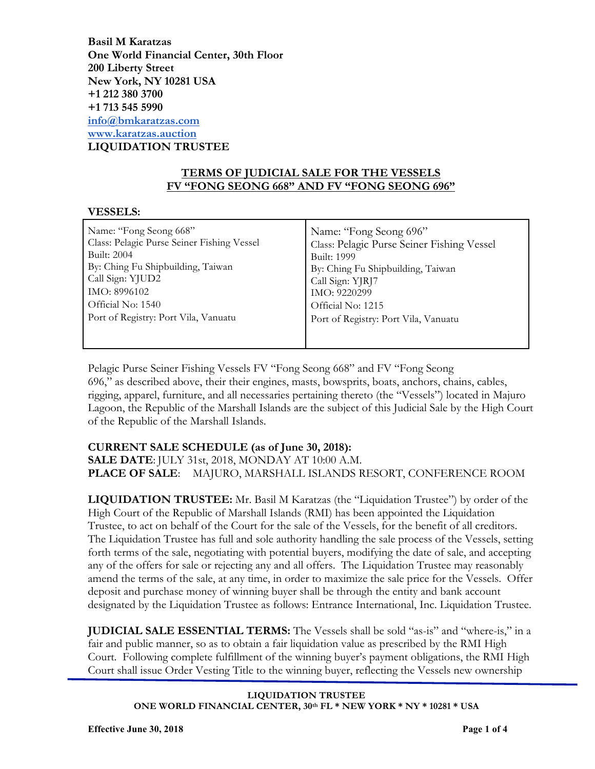**Basil M Karatzas One World Financial Center, 30th Floor 200 Liberty Street New York, NY 10281 USA +1 212 380 3700 +1 713 545 5990 info@bmkaratzas.com www.karatzas.auction LIQUIDATION TRUSTEE**

### **TERMS OF JUDICIAL SALE FOR THE VESSELS FV "FONG SEONG 668" AND FV "FONG SEONG 696"**

#### **VESSELS:**

| Name: "Fong Seong 668"                     | Name: "Fong Seong 696"                     |
|--------------------------------------------|--------------------------------------------|
| Class: Pelagic Purse Seiner Fishing Vessel | Class: Pelagic Purse Seiner Fishing Vessel |
| Built: 2004                                | <b>Built: 1999</b>                         |
| By: Ching Fu Shipbuilding, Taiwan          | By: Ching Fu Shipbuilding, Taiwan          |
| Call Sign: YJUD2                           | Call Sign: YJRJ7                           |
| IMO: 8996102                               | IMO: 9220299                               |
| Official No: 1540                          | Official No: 1215                          |
| Port of Registry: Port Vila, Vanuatu       | Port of Registry: Port Vila, Vanuatu       |
|                                            |                                            |

Pelagic Purse Seiner Fishing Vessels FV "Fong Seong 668" and FV "Fong Seong 696," as described above, their their engines, masts, bowsprits, boats, anchors, chains, cables, rigging, apparel, furniture, and all necessaries pertaining thereto (the "Vessels") located in Majuro Lagoon, the Republic of the Marshall Islands are the subject of this Judicial Sale by the High Court of the Republic of the Marshall Islands.

# **CURRENT SALE SCHEDULE (as of June 30, 2018):**

**SALE DATE**: JULY 31st, 2018, MONDAY AT 10:00 A.M. **PLACE OF SALE**: MAJURO, MARSHALL ISLANDS RESORT, CONFERENCE ROOM

**LIQUIDATION TRUSTEE:** Mr. Basil M Karatzas (the "Liquidation Trustee") by order of the High Court of the Republic of Marshall Islands (RMI) has been appointed the Liquidation Trustee, to act on behalf of the Court for the sale of the Vessels, for the benefit of all creditors. The Liquidation Trustee has full and sole authority handling the sale process of the Vessels, setting forth terms of the sale, negotiating with potential buyers, modifying the date of sale, and accepting any of the offers for sale or rejecting any and all offers. The Liquidation Trustee may reasonably amend the terms of the sale, at any time, in order to maximize the sale price for the Vessels. Offer deposit and purchase money of winning buyer shall be through the entity and bank account designated by the Liquidation Trustee as follows: Entrance International, Inc. Liquidation Trustee.

**JUDICIAL SALE ESSENTIAL TERMS:** The Vessels shall be sold "as-is" and "where-is," in a fair and public manner, so as to obtain a fair liquidation value as prescribed by the RMI High Court. Following complete fulfillment of the winning buyer's payment obligations, the RMI High Court shall issue Order Vesting Title to the winning buyer, reflecting the Vessels new ownership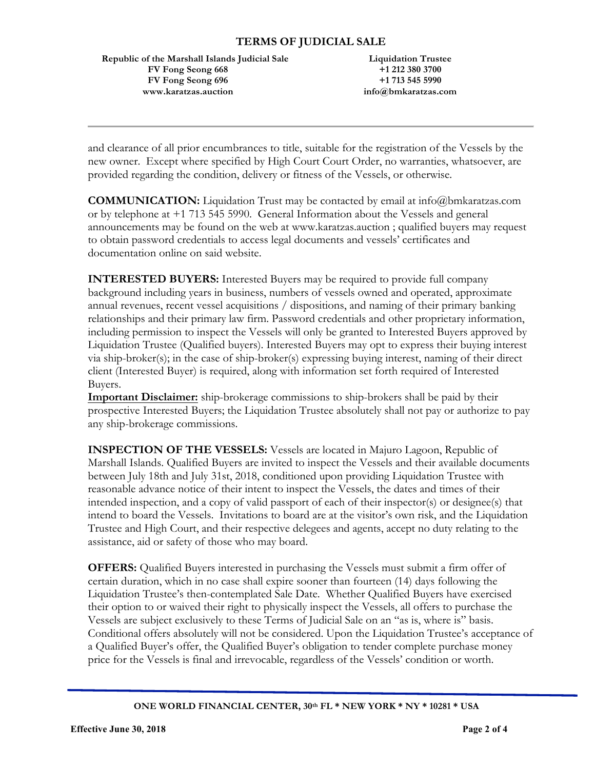## **TERMS OF JUDICIAL SALE**

 **Republic of the Marshall Islands Judicial Sale FV Fong Seong 668 FV Fong Seong 696 www.karatzas.auction**

**Liquidation Trustee +1 212 380 3700 +1 713 545 5990 info@bmkaratzas.com**

and clearance of all prior encumbrances to title, suitable for the registration of the Vessels by the new owner. Except where specified by High Court Court Order, no warranties, whatsoever, are provided regarding the condition, delivery or fitness of the Vessels, or otherwise.

**COMMUNICATION:** Liquidation Trust may be contacted by email at info@bmkaratzas.com or by telephone at +1 713 545 5990. General Information about the Vessels and general announcements may be found on the web at www.karatzas.auction ; qualified buyers may request to obtain password credentials to access legal documents and vessels' certificates and documentation online on said website.

**INTERESTED BUYERS:** Interested Buyers may be required to provide full company background including years in business, numbers of vessels owned and operated, approximate annual revenues, recent vessel acquisitions / dispositions, and naming of their primary banking relationships and their primary law firm. Password credentials and other proprietary information, including permission to inspect the Vessels will only be granted to Interested Buyers approved by Liquidation Trustee (Qualified buyers). Interested Buyers may opt to express their buying interest via ship-broker(s); in the case of ship-broker(s) expressing buying interest, naming of their direct client (Interested Buyer) is required, along with information set forth required of Interested Buyers.

**Important Disclaimer:** ship-brokerage commissions to ship-brokers shall be paid by their prospective Interested Buyers; the Liquidation Trustee absolutely shall not pay or authorize to pay any ship-brokerage commissions.

**INSPECTION OF THE VESSELS:** Vessels are located in Majuro Lagoon, Republic of Marshall Islands. Qualified Buyers are invited to inspect the Vessels and their available documents between July 18th and July 31st, 2018, conditioned upon providing Liquidation Trustee with reasonable advance notice of their intent to inspect the Vessels, the dates and times of their intended inspection, and a copy of valid passport of each of their inspector(s) or designee(s) that intend to board the Vessels. Invitations to board are at the visitor's own risk, and the Liquidation Trustee and High Court, and their respective delegees and agents, accept no duty relating to the assistance, aid or safety of those who may board.

**OFFERS:** Qualified Buyers interested in purchasing the Vessels must submit a firm offer of certain duration, which in no case shall expire sooner than fourteen (14) days following the Liquidation Trustee's then-contemplated Sale Date. Whether Qualified Buyers have exercised their option to or waived their right to physically inspect the Vessels, all offers to purchase the Vessels are subject exclusively to these Terms of Judicial Sale on an "as is, where is" basis. Conditional offers absolutely will not be considered. Upon the Liquidation Trustee's acceptance of a Qualified Buyer's offer, the Qualified Buyer's obligation to tender complete purchase money price for the Vessels is final and irrevocable, regardless of the Vessels' condition or worth.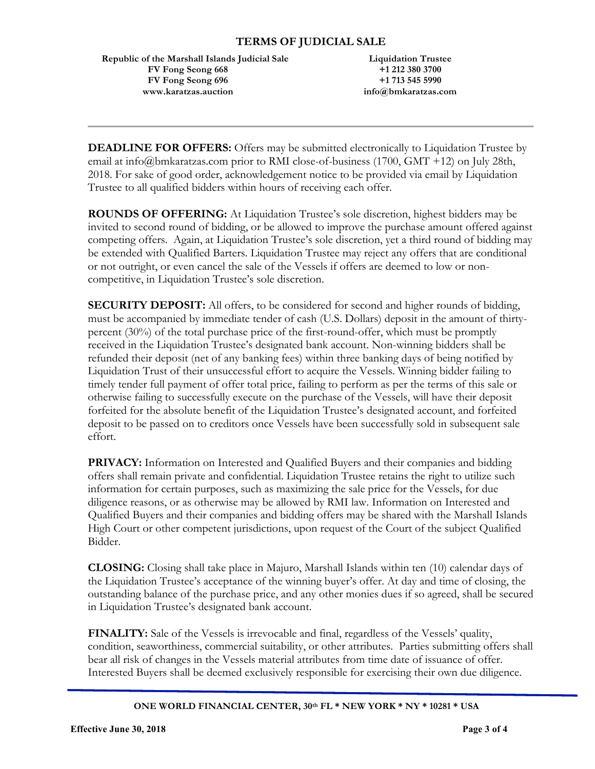**Republic of the Marshall Islands Judicial Sale FV Fong Seong 668 FV Fong Seong 696 www.karatzas.auction**

**Liquidation Trustee +1 212 380 3700 +1 713 545 5990 info@bmkaratzas.com**

**DEADLINE FOR OFFERS:** Offers may be submitted electronically to Liquidation Trustee by email at info@bmkaratzas.com prior to RMI close-of-business (1700, GMT +12) on July 28th, 2018. For sake of good order, acknowledgement notice to be provided via email by Liquidation Trustee to all qualified bidders within hours of receiving each offer.

**ROUNDS OF OFFERING:** At Liquidation Trustee's sole discretion, highest bidders may be invited to second round of bidding, or be allowed to improve the purchase amount offered against competing offers. Again, at Liquidation Trustee's sole discretion, yet a third round of bidding may be extended with Qualified Barters. Liquidation Trustee may reject any offers that are conditional or not outright, or even cancel the sale of the Vessels if offers are deemed to low or noncompetitive, in Liquidation Trustee's sole discretion.

**SECURITY DEPOSIT:** All offers, to be considered for second and higher rounds of bidding, must be accompanied by immediate tender of cash (U.S. Dollars) deposit in the amount of thirtypercent (30%) of the total purchase price of the first-round-offer, which must be promptly received in the Liquidation Trustee's designated bank account. Non-winning bidders shall be refunded their deposit (net of any banking fees) within three banking days of being notified by Liquidation Trust of their unsuccessful effort to acquire the Vessels. Winning bidder failing to timely tender full payment of offer total price, failing to perform as per the terms of this sale or otherwise failing to successfully execute on the purchase of the Vessels, will have their deposit forfeited for the absolute benefit of the Liquidation Trustee's designated account, and forfeited deposit to be passed on to creditors once Vessels have been successfully sold in subsequent sale effort.

**PRIVACY:** Information on Interested and Qualified Buyers and their companies and bidding offers shall remain private and confidential. Liquidation Trustee retains the right to utilize such information for certain purposes, such as maximizing the sale price for the Vessels, for due diligence reasons, or as otherwise may be allowed by RMI law. Information on Interested and Qualified Buyers and their companies and bidding offers may be shared with the Marshall Islands High Court or other competent jurisdictions, upon request of the Court of the subject Qualified Bidder.

**CLOSING:** Closing shall take place in Majuro, Marshall Islands within ten (10) calendar days of the Liquidation Trustee's acceptance of the winning buyer's offer. At day and time of closing, the outstanding balance of the purchase price, and any other monies dues if so agreed, shall be secured in Liquidation Trustee's designated bank account.

**FINALITY:** Sale of the Vessels is irrevocable and final, regardless of the Vessels' quality, condition, seaworthiness, commercial suitability, or other attributes. Parties submitting offers shall bear all risk of changes in the Vessels material attributes from time date of issuance of offer. Interested Buyers shall be deemed exclusively responsible for exercising their own due diligence.